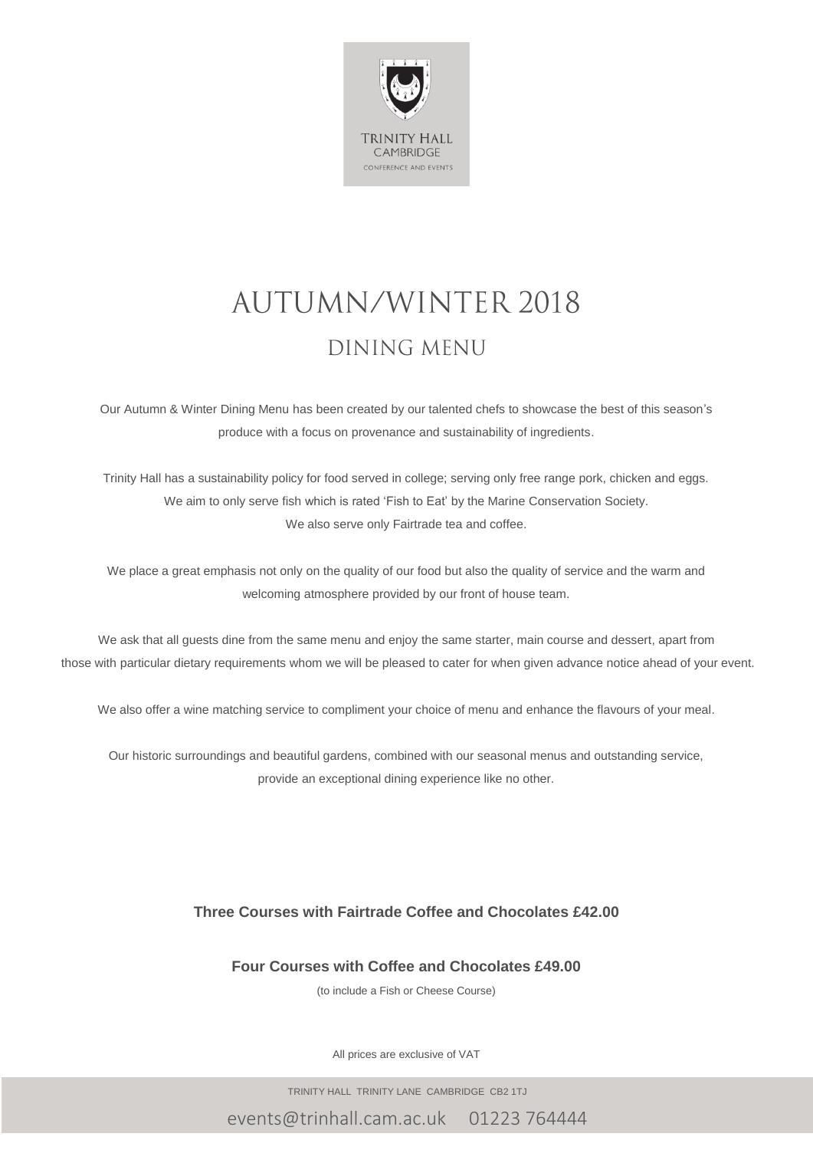

# **AUTUMN/WINTER 2018** DINING MENU

Our Autumn & Winter Dining Menu has been created by our talented chefs to showcase the best of this season's produce with a focus on provenance and sustainability of ingredients.

Trinity Hall has a sustainability policy for food served in college; serving only free range pork, chicken and eggs. We aim to only serve fish which is rated 'Fish to Eat' by the Marine Conservation Society. We also serve only Fairtrade tea and coffee.

We place a great emphasis not only on the quality of our food but also the quality of service and the warm and welcoming atmosphere provided by our front of house team.

We ask that all guests dine from the same menu and enjoy the same starter, main course and dessert, apart from those with particular dietary requirements whom we will be pleased to cater for when given advance notice ahead of your event.

We also offer a wine matching service to compliment your choice of menu and enhance the flavours of your meal.

Our historic surroundings and beautiful gardens, combined with our seasonal menus and outstanding service, provide an exceptional dining experience like no other.

#### **Three Courses with Fairtrade Coffee and Chocolates £42.00**

**Four Courses with Coffee and Chocolates £49.00**

(to include a Fish or Cheese Course)

All prices are exclusive of VAT

TRINITY HALL TRINITY LANE CAMBRIDGE CB2 1TJ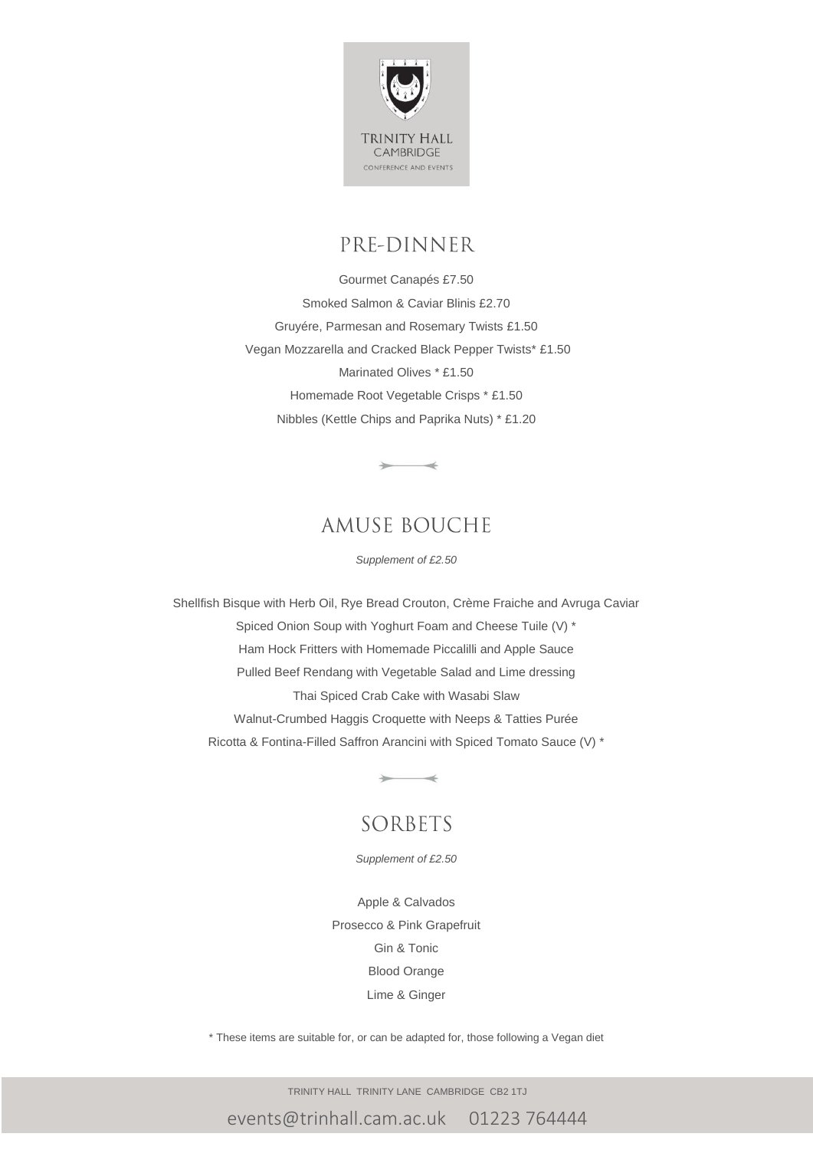

# PRE-DINNER

Gourmet Canapés £7.50 Smoked Salmon & Caviar Blinis £2.70 Gruyére, Parmesan and Rosemary Twists £1.50 Vegan Mozzarella and Cracked Black Pepper Twists\* £1.50 Marinated Olives \* £1.50 Homemade Root Vegetable Crisps \* £1.50 Nibbles (Kettle Chips and Paprika Nuts) \* £1.20

### **AMUSE BOUCHE**

 $\rightarrow$ 

*Supplement of £2.50*

Shellfish Bisque with Herb Oil, Rye Bread Crouton, Crème Fraiche and Avruga Caviar Spiced Onion Soup with Yoghurt Foam and Cheese Tuile (V) \* Ham Hock Fritters with Homemade Piccalilli and Apple Sauce Pulled Beef Rendang with Vegetable Salad and Lime dressing Thai Spiced Crab Cake with Wasabi Slaw Walnut-Crumbed Haggis Croquette with Neeps & Tatties Purée Ricotta & Fontina-Filled Saffron Arancini with Spiced Tomato Sauce (V) \*

### SORBETS

 $\overline{\phantom{a}}$ 

*Supplement of £2.50*

Apple & Calvados Prosecco & Pink Grapefruit Gin & Tonic Blood Orange Lime & Ginger

\* These items are suitable for, or can be adapted for, those following a Vegan diet

TRINITY HALL TRINITY LANE CAMBRIDGE CB2 1TJ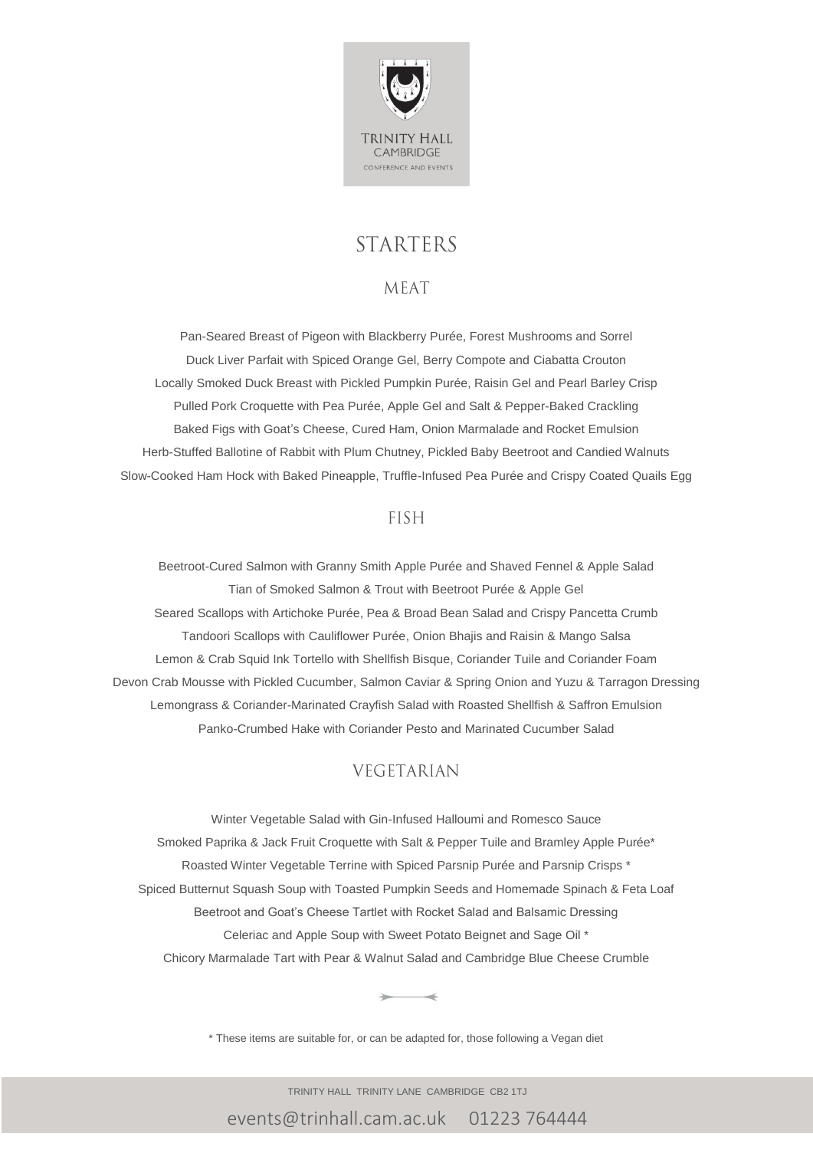

## **STARTERS**

#### **MEAT**

Pan-Seared Breast of Pigeon with Blackberry Purée, Forest Mushrooms and Sorrel Duck Liver Parfait with Spiced Orange Gel, Berry Compote and Ciabatta Crouton Locally Smoked Duck Breast with Pickled Pumpkin Purée, Raisin Gel and Pearl Barley Crisp Pulled Pork Croquette with Pea Purée, Apple Gel and Salt & Pepper-Baked Crackling Baked Figs with Goat's Cheese, Cured Ham, Onion Marmalade and Rocket Emulsion Herb-Stuffed Ballotine of Rabbit with Plum Chutney, Pickled Baby Beetroot and Candied Walnuts Slow-Cooked Ham Hock with Baked Pineapple, Truffle-Infused Pea Purée and Crispy Coated Quails Egg

#### **FISH**

Beetroot-Cured Salmon with Granny Smith Apple Purée and Shaved Fennel & Apple Salad Tian of Smoked Salmon & Trout with Beetroot Purée & Apple Gel Seared Scallops with Artichoke Purée, Pea & Broad Bean Salad and Crispy Pancetta Crumb Tandoori Scallops with Cauliflower Purée, Onion Bhajis and Raisin & Mango Salsa Lemon & Crab Squid Ink Tortello with Shellfish Bisque, Coriander Tuile and Coriander Foam Devon Crab Mousse with Pickled Cucumber, Salmon Caviar & Spring Onion and Yuzu & Tarragon Dressing Lemongrass & Coriander-Marinated Crayfish Salad with Roasted Shellfish & Saffron Emulsion Panko-Crumbed Hake with Coriander Pesto and Marinated Cucumber Salad

### **VEGETARIAN**

Winter Vegetable Salad with Gin-Infused Halloumi and Romesco Sauce Smoked Paprika & Jack Fruit Croquette with Salt & Pepper Tuile and Bramley Apple Purée\* Roasted Winter Vegetable Terrine with Spiced Parsnip Purée and Parsnip Crisps \* Spiced Butternut Squash Soup with Toasted Pumpkin Seeds and Homemade Spinach & Feta Loaf Beetroot and Goat's Cheese Tartlet with Rocket Salad and Balsamic Dressing Celeriac and Apple Soup with Sweet Potato Beignet and Sage Oil \* Chicory Marmalade Tart with Pear & Walnut Salad and Cambridge Blue Cheese Crumble

\* These items are suitable for, or can be adapted for, those following a Vegan diet

TRINITY HALL TRINITY LANE CAMBRIDGE CB2 1TJ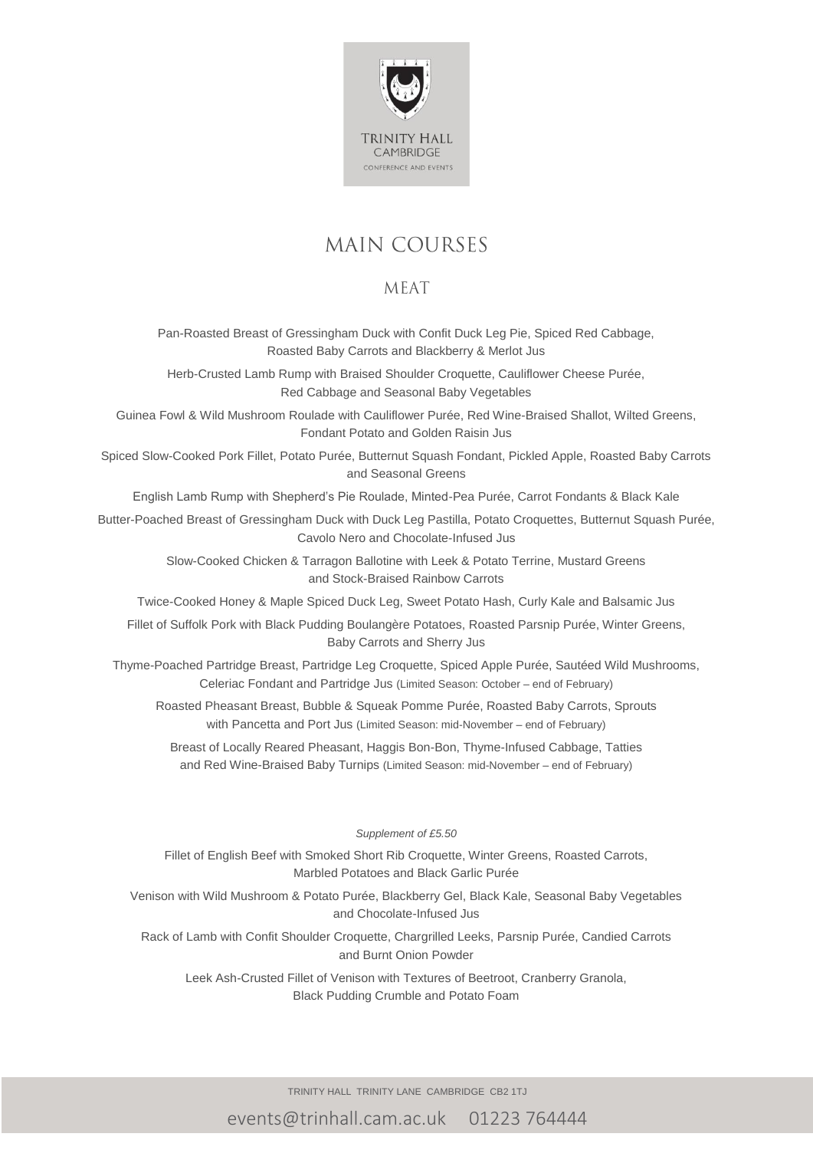

# **MAIN COURSES**

### **MEAT**

Pan-Roasted Breast of Gressingham Duck with Confit Duck Leg Pie, Spiced Red Cabbage, Roasted Baby Carrots and Blackberry & Merlot Jus

Herb-Crusted Lamb Rump with Braised Shoulder Croquette, Cauliflower Cheese Purée, Red Cabbage and Seasonal Baby Vegetables

Guinea Fowl & Wild Mushroom Roulade with Cauliflower Purée, Red Wine-Braised Shallot, Wilted Greens, Fondant Potato and Golden Raisin Jus

Spiced Slow-Cooked Pork Fillet, Potato Purée, Butternut Squash Fondant, Pickled Apple, Roasted Baby Carrots and Seasonal Greens

English Lamb Rump with Shepherd's Pie Roulade, Minted-Pea Purée, Carrot Fondants & Black Kale

Butter-Poached Breast of Gressingham Duck with Duck Leg Pastilla, Potato Croquettes, Butternut Squash Purée, Cavolo Nero and Chocolate-Infused Jus

> Slow-Cooked Chicken & Tarragon Ballotine with Leek & Potato Terrine, Mustard Greens and Stock-Braised Rainbow Carrots

Twice-Cooked Honey & Maple Spiced Duck Leg, Sweet Potato Hash, Curly Kale and Balsamic Jus

Fillet of Suffolk Pork with Black Pudding Boulangère Potatoes, Roasted Parsnip Purée, Winter Greens, Baby Carrots and Sherry Jus

Thyme-Poached Partridge Breast, Partridge Leg Croquette, Spiced Apple Purée, Sautéed Wild Mushrooms, Celeriac Fondant and Partridge Jus (Limited Season: October – end of February)

Roasted Pheasant Breast, Bubble & Squeak Pomme Purée, Roasted Baby Carrots, Sprouts with Pancetta and Port Jus (Limited Season: mid-November – end of February)

Breast of Locally Reared Pheasant, Haggis Bon-Bon, Thyme-Infused Cabbage, Tatties and Red Wine-Braised Baby Turnips (Limited Season: mid-November – end of February)

#### *Supplement of £5.50*

Fillet of English Beef with Smoked Short Rib Croquette, Winter Greens, Roasted Carrots, Marbled Potatoes and Black Garlic Purée

Venison with Wild Mushroom & Potato Purée, Blackberry Gel, Black Kale, Seasonal Baby Vegetables and Chocolate-Infused Jus

Rack of Lamb with Confit Shoulder Croquette, Chargrilled Leeks, Parsnip Purée, Candied Carrots and Burnt Onion Powder

Leek Ash-Crusted Fillet of Venison with Textures of Beetroot, Cranberry Granola, Black Pudding Crumble and Potato Foam

TRINITY HALL TRINITY LANE CAMBRIDGE CB2 1TJ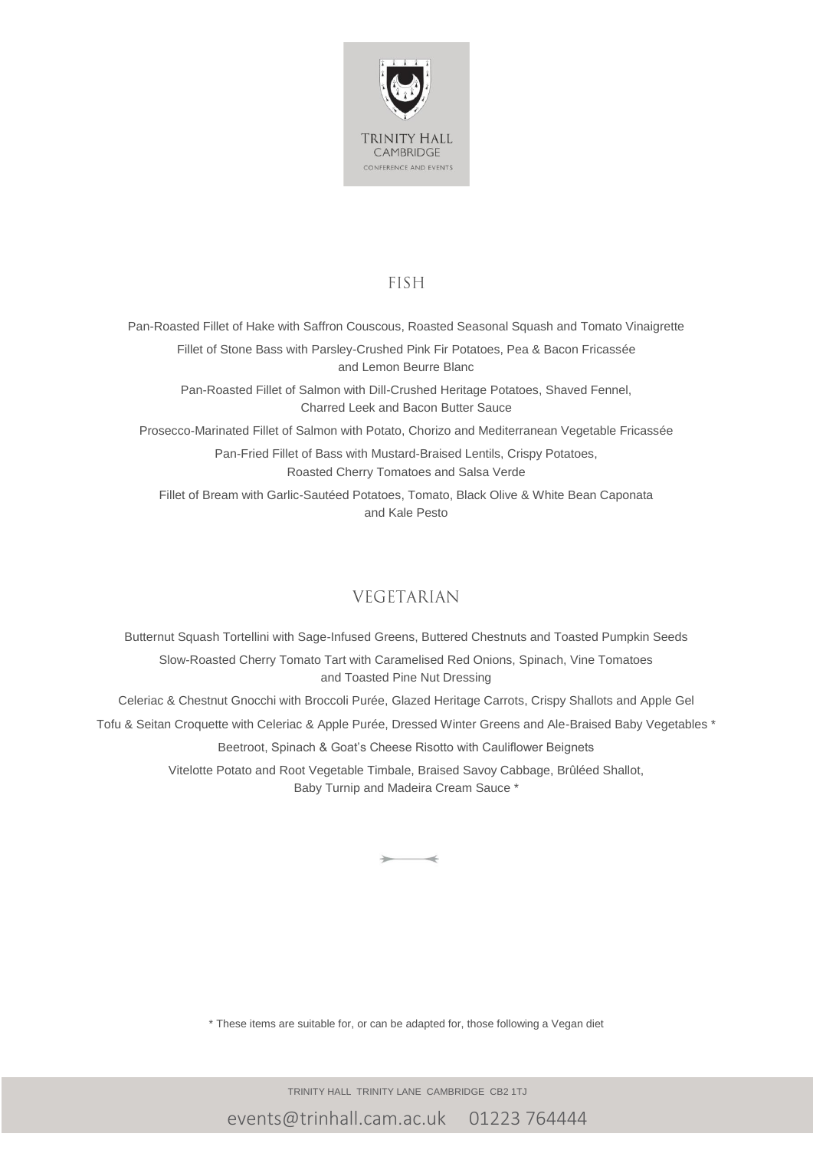

#### **FISH**

Pan-Roasted Fillet of Hake with Saffron Couscous, Roasted Seasonal Squash and Tomato Vinaigrette Fillet of Stone Bass with Parsley-Crushed Pink Fir Potatoes, Pea & Bacon Fricassée and Lemon Beurre Blanc

Pan-Roasted Fillet of Salmon with Dill-Crushed Heritage Potatoes, Shaved Fennel, Charred Leek and Bacon Butter Sauce

Prosecco-Marinated Fillet of Salmon with Potato, Chorizo and Mediterranean Vegetable Fricassée

Pan-Fried Fillet of Bass with Mustard-Braised Lentils, Crispy Potatoes, Roasted Cherry Tomatoes and Salsa Verde

Fillet of Bream with Garlic-Sautéed Potatoes, Tomato, Black Olive & White Bean Caponata and Kale Pesto

### **VEGETARIAN**

Butternut Squash Tortellini with Sage-Infused Greens, Buttered Chestnuts and Toasted Pumpkin Seeds Slow-Roasted Cherry Tomato Tart with Caramelised Red Onions, Spinach, Vine Tomatoes and Toasted Pine Nut Dressing Celeriac & Chestnut Gnocchi with Broccoli Purée, Glazed Heritage Carrots, Crispy Shallots and Apple Gel Tofu & Seitan Croquette with Celeriac & Apple Purée, Dressed Winter Greens and Ale-Braised Baby Vegetables \* Beetroot, Spinach & Goat's Cheese Risotto with Cauliflower Beignets Vitelotte Potato and Root Vegetable Timbale, Braised Savoy Cabbage, Brûléed Shallot, Baby Turnip and Madeira Cream Sauce \*

\* These items are suitable for, or can be adapted for, those following a Vegan diet

TRINITY HALL TRINITY LANE CAMBRIDGE CB2 1TJ